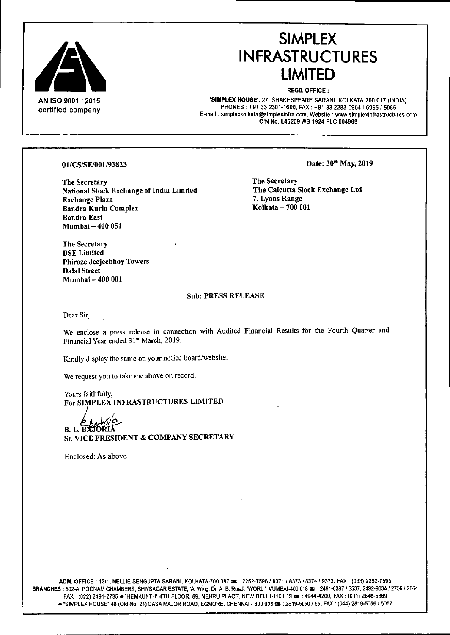

# **SIMPLEX IN FRASTRUCTU RES LIMITED**

REGD. OFFICE:

'SIMPLEX HOUSE'. 27, SHAKESPEARE SARANI, KOLKATA-7DO D17 (INDIA) PHONES: +91 332301-1600. FAX: +91 332283-5964/5965/5966 **E-mail: [simplexkolkata@simplexinfra.com,](mailto:simplexkolkata@simplexinfra.com,) Website: [www.simplexinfrastructures.com](http://www.simplexinfrastructures.com)** CIN No. L45209 WB 1924 PLC 004969

#### 01/CS/SE/001/93823

The Secretary National Stock Exchange of India Limited Exchange Plaza Bandra Kurla Complex **Bandra East** Mumbai - 400 051

Date: 30" May, 2019

The Secretary The Calcutta Stock Exchange Ltd 7, Lyous Range Kolkata - 700 001

The Secretary BSE Limited Phiroze Jeejeebhoy Towers Dalal Street Mumbai - 400 001

#### Sub: PRESS RELEASE

**Dear Sir,**

We enclose a press release in connection with Audited Financial Results for the Fourth Quarter and Financial Year ended 31" March, 2019.

Kindly display the same on your notice board/website.

We request you to take the above on record.

Yours faithfully, For SIMPLEX INFRASTRUCTURES LIMITED

**B.L. BAJORI** 

Sr. VICE PRESIDENT & COMPANY SECRETARY

Enclosed: As above

ADM. OFFICE: 12/1. NELLIE SENGUPTA SARANI, KOLKATA-700 087 •• : 2252-7596/8371 /8373 *<sup>J</sup>* 8374/9372. FAX: (033) 2252-7595 BRANCHES: 502-A, POONAM CHAMBERS, SHIVSAGAR ESTATE, 'A' Wing, Dr. A. B. Road, "WORLI" MUMBAI-400 018 2: 1794-8397 / 3537, 2492-9034 / 2756 / 2064 FAX: (022) 2491-2735 . "HEMKUNTH" 4TH FLOOR, 89, NEHRU PLACE, NEW DELHI-110 019 = : 4944-4200, FAX: (011) 2646-5869 • "SIMPLEX HOUSE" 48 (Old No. 21) CASA MAJOR ROAD, EGMORE, CHENNAI - 600 008 xp : 2819-5050 / 55, FAX: (044) 2819-5056 / 5057